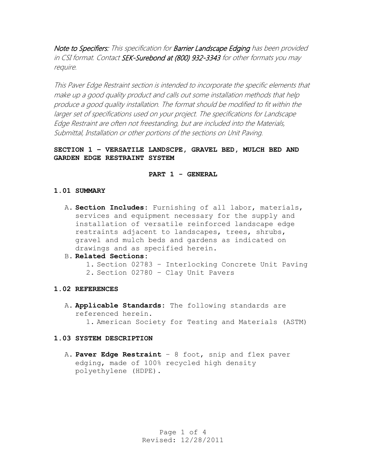Note to Specifiers: This specification for Barrier Landscape Edging has been provided in CSI format. Contact SEK-Surebond at (800) 932-3343 for other formats you may require.

This Paver Edge Restraint section is intended to incorporate the specific elements that make up a good quality product and calls out some installation methods that help produce a good quality installation. The format should be modified to fit within the larger set of specifications used on your project. The specifications for Landscape Edge Restraint are often not freestanding, but are included into the Materials, Submittal, Installation or other portions of the sections on Unit Paving.

# **SECTION 1 – VERSATILE LANDSCPE, GRAVEL BED, MULCH BED AND GARDEN EDGE RESTRAINT SYSTEM**

#### **PART 1 - GENERAL**

## **1.01 SUMMARY**

- A. **Section Includes:** Furnishing of all labor, materials, services and equipment necessary for the supply and installation of versatile reinforced landscape edge restraints adjacent to landscapes, trees, shrubs, gravel and mulch beds and gardens as indicated on drawings and as specified herein.
- B. **Related Sections:**
	- 1. Section 02783 Interlocking Concrete Unit Paving
	- 2. Section 02780 Clay Unit Pavers

#### **1.02 REFERENCES**

A. **Applicable Standards:** The following standards are referenced herein. 1. American Society for Testing and Materials (ASTM)

#### **1.03 SYSTEM DESCRIPTION**

A. **Paver Edge Restraint** – 8 foot, snip and flex paver edging, made of 100% recycled high density polyethylene (HDPE).

> Page 1 of 4 Revised: 12/28/2011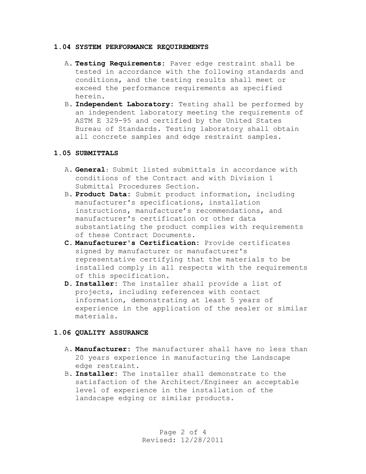#### **1.04 SYSTEM PERFORMANCE REQUIREMENTS**

- A. **Testing Requirements:** Paver edge restraint shall be tested in accordance with the following standards and conditions, and the testing results shall meet or exceed the performance requirements as specified herein.
- B. **Independent Laboratory:** Testing shall be performed by an independent laboratory meeting the requirements of ASTM E 329-95 and certified by the United States Bureau of Standards. Testing laboratory shall obtain all concrete samples and edge restraint samples.

### **1.05 SUBMITTALS**

- A. **General:** Submit listed submittals in accordance with conditions of the Contract and with Division 1 Submittal Procedures Section.
- B. **Product Data:** Submit product information, including manufacturer's specifications, installation instructions, manufacture's recommendations, and manufacturer's certification or other data substantiating the product complies with requirements of these Contract Documents.
- **C. Manufacturer's Certification:** Provide certificates signed by manufacturer or manufacturer's representative certifying that the materials to be installed comply in all respects with the requirements of this specification.
- **D. Installer:** The installer shall provide a list of projects, including references with contact information, demonstrating at least 5 years of experience in the application of the sealer or similar materials.

## **1.06 QUALITY ASSURANCE**

- A. **Manufacturer:** The manufacturer shall have no less than 20 years experience in manufacturing the Landscape edge restraint.
- B. **Installer:** The installer shall demonstrate to the satisfaction of the Architect/Engineer an acceptable level of experience in the installation of the landscape edging or similar products.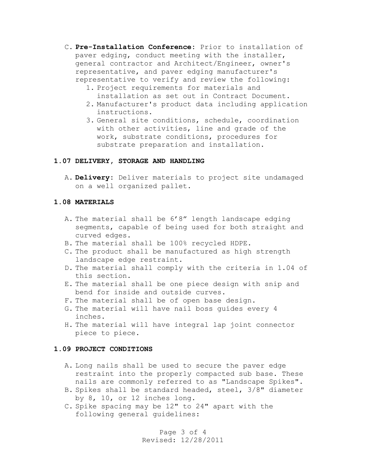- C. **Pre-Installation Conference:** Prior to installation of paver edging, conduct meeting with the installer, general contractor and Architect/Engineer, owner's representative, and paver edging manufacturer's representative to verify and review the following:
	- 1. Project requirements for materials and installation as set out in Contract Document.
	- 2. Manufacturer's product data including application instructions.
	- 3. General site conditions, schedule, coordination with other activities, line and grade of the work, substrate conditions, procedures for substrate preparation and installation.

### **1.07 DELIVERY, STORAGE AND HANDLING**

A. **Delivery:** Deliver materials to project site undamaged on a well organized pallet.

### **1.08 MATERIALS**

- A. The material shall be 6'8" length landscape edging segments, capable of being used for both straight and curved edges.
- B. The material shall be 100% recycled HDPE.
- C. The product shall be manufactured as high strength landscape edge restraint.
- D. The material shall comply with the criteria in 1.04 of this section.
- E. The material shall be one piece design with snip and bend for inside and outside curves.
- F. The material shall be of open base design.
- G. The material will have nail boss guides every 4 inches.
- H. The material will have integral lap joint connector piece to piece.

#### **1.09 PROJECT CONDITIONS**

- A. Long nails shall be used to secure the paver edge restraint into the properly compacted sub base. These nails are commonly referred to as "Landscape Spikes".
- B. Spikes shall be standard headed, steel, 3/8" diameter by 8, 10, or 12 inches long.
- C. Spike spacing may be 12" to 24" apart with the following general guidelines:

Page 3 of 4 Revised: 12/28/2011